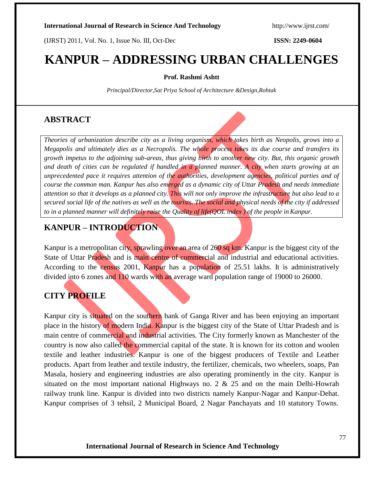# **KANPUR – ADDRESSING URBAN CHALLENGES**

### **Prof. Rashmi Ashtt**

*Principal/Director,Sat Priya School of Architecture &Design,Rohtak* 

## **ABSTRACT**

*Theories of urbanization describe city as a living organism, which takes birth as Neopolis, grows into a Megapolis and ultimately dies as a Necropolis. The whole process takes its due course and transfers its growth impetus to the adjoining sub-areas, thus giving birth to another new city. But, this organic growth and death of cities can be regulated if handled in a planned manner. A city when starts growing at an unprecedented pace it requires attention of the authorities, development agencies, political parties and of course the common man. Kanpur has also emerged as a dynamic city of Uttar Pradesh and needs immediate attention so that it develops as a planned city. This will not only improve the infrastructure but also lead to a secured social life of the natives as well as the tourists. The social and physical needs of the city if addressed to in a planned manner will definitely raise the Quality of life(QOL index ) of the people inKanpur.*

## **KANPUR – INTRODUCTION**

Kanpur is a metropolitan city, sprawling over an area of 260 sq km. Kanpur is the biggest city of the State of Uttar Pradesh and is main centre of commercial and industrial and educational activities. According to the census 2001, Kanpur has a population of 25.51 lakhs. It is administratively divided into 6 zones and 110 wards with an average ward population range of 19000 to 26000.

## **CITY PROFILE**

Kanpur city is situated on the southern bank of Ganga River and has been enjoying an important place in the history of modern India. Kanpur is the biggest city of the State of Uttar Pradesh and is main centre of commercial and industrial activities. The City formerly known as Manchester of the country is now also called the commercial capital of the state. It is known for its cotton and woolen textile and leather industries. Kanpur is one of the biggest producers of Textile and Leather products. Apart from leather and textile industry, the fertilizer, chemicals, two wheelers, soaps, Pan Masala, hosiery and engineering industries are also operating prominently in the city. Kanpur is situated on the most important national Highways no. 2 & 25 and on the main Delhi-Howrah railway trunk line. Kanpur is divided into two districts namely Kanpur-Nagar and Kanpur-Dehat. Kanpur comprises of 3 tehsil, 2 Municipal Board, 2 Nagar Panchayats and 10 statutory Towns.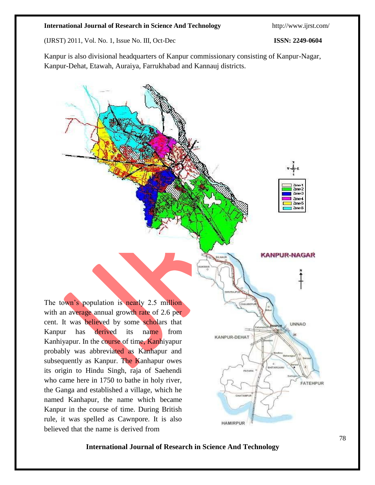Kanpur is also divisional headquarters of Kanpur commissionary consisting of Kanpur-Nagar, Kanpur-Dehat, Etawah, Auraiya, Farrukhabad and Kannauj districts.

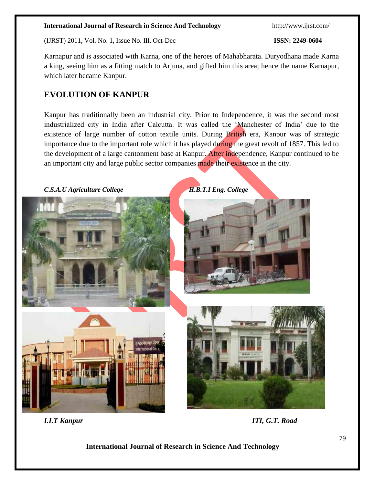(IJRST) 2011, Vol. No. 1, Issue No. III, Oct-Dec **ISSN: 2249-0604**

Karnapur and is associated with Karna, one of the heroes of Mahabharata. Duryodhana made Karna a king, seeing him as a fitting match to Arjuna, and gifted him this area; hence the name Karnapur, which later became Kanpur.

## **EVOLUTION OF KANPUR**

Kanpur has traditionally been an industrial city. Prior to Independence, it was the second most industrialized city in India after Calcutta. It was called the 'Manchester of India' due to the existence of large number of cotton textile units. During British era, Kanpur was of strategic importance due to the important role which it has played during the great revolt of 1857. This led to the development of a large cantonment base at Kanpur. After independence, Kanpur continued to be an important city and large public sector companies made their existence in the city.

*C.S.A.U Agriculture College H.B.T.I Eng. College*











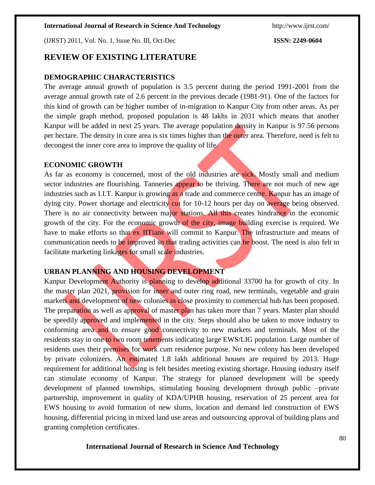(IJRST) 2011, Vol. No. 1, Issue No. III, Oct-Dec **ISSN: 2249-0604**

## **REVIEW OF EXISTING LITERATURE**

### **DEMOGRAPHIC CHARACTERISTICS**

The average annual growth of population is 3.5 percent during the period 1991-2001 from the average annual growth rate of 2.6 percent in the previous decade (1981-91). One of the factors for this kind of growth can be higher number of in-migration to Kanpur City from other areas. As per the simple graph method, proposed population is 48 lakhs in 2031 which means that another Kanpur will be added in next 25 years. The average population density in Kanpur is 97.56 persons per hectare. The density in core area is six times higher than the outer area. Therefore, need is felt to decongest the inner core area to improve the quality of life.

#### **ECONOMIC GROWTH**

As far as economy is concerned, most of the old industries are sick. Mostly small and medium sector industries are flourishing. Tanneries appear to be thriving. There are not much of new age industries such as I.I.T. Kanpur is growing as a trade and commerce centre. Kanpur has an image of dying city. Power shortage and electricity cut for 10-12 hours per day on average being observed. There is no air connectivity between major stations. All this creates hindrance in the economic growth of the city. For the economic growth of the city, image building exercise is required. We have to make efforts so that ex IITians will commit to Kanpur. The infrastructure and means of communication needs to be improved so that trading activities can be boost. The need is also felt to facilitate marketing linkages for small scale industries.

### **URBAN PLANNING AND HOUSING DEVELOPMENT**

Kanpur Development Authority is planning to develop additional 33700 ha for growth of city. In the master plan 2021, provision for inner and outer ring road, new terminals, vegetable and grain markets and development of new colonies in close proximity to commercial hub has been proposed. The preparation as well as approval of master plan has taken more than 7 years. Master plan should be speedily approved and implemented in the city. Steps should also be taken to move industry to conforming area and to ensure good connectivity to new markets and terminals. Most of the residents stay in one to two room tenements indicating large EWS/LIG population. Large number of residents uses their premises for work cum residence purpose. No new colony has been developed by private colonizers. An estimated 1.8 lakh additional houses are required by 2013. Huge requirement for additional housing is felt besides meeting existing shortage. Housing industry itself can stimulate economy of Kanpur. The strategy for planned development will be speedy development of planned townships, stimulating housing development through public –private partnership, improvement in quality of KDA/UPHB housing, reservation of 25 percent area for EWS housing to avoid formation of new slums, location and demand led construction of EWS housing, differential pricing in mixed land use areas and outsourcing approval of building plans and granting completion certificates.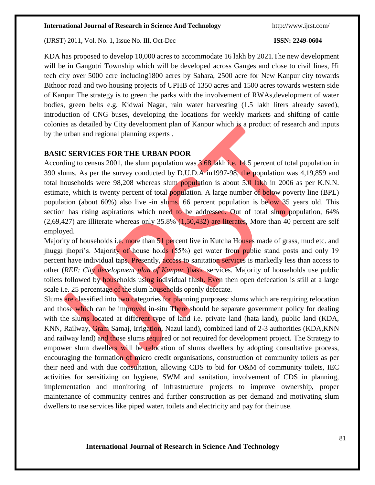(IJRST) 2011, Vol. No. 1, Issue No. III, Oct-Dec **ISSN: 2249-0604**

KDA has proposed to develop 10,000 acres to accommodate 16 lakh by 2021.The new development will be in Gangotri Township which will be developed across Ganges and close to civil lines, Hi tech city over 5000 acre including1800 acres by Sahara, 2500 acre for New Kanpur city towards Bithoor road and two housing projects of UPHB of 1350 acres and 1500 acres towards western side of Kanpur The strategy is to green the parks with the involvement of RWAs,development of water bodies, green belts e.g. Kidwai Nagar, rain water harvesting (1.5 lakh liters already saved), introduction of CNG buses, developing the locations for weekly markets and shifting of cattle colonies as detailed by City development plan of Kanpur which is a product of research and inputs by the urban and regional planning experts .

### **BASIC SERVICES FOR THE URBAN POOR**

According to census 2001, the slum population was 3.68 lakh i.e. 14.5 percent of total population in 390 slums. As per the survey conducted by D.U.D.A in1997-98, the population was 4,19,859 and total households were 98,208 whereas slum population is about 5.0 lakh in 2006 as per K.N.N. estimate, which is twenty percent of total **population**. A large number of below poverty line (BPL) population (about 60%) also live -in slums. 66 percent population is below 35 years old. This section has rising aspirations which need to be addressed. Out of total slum population, 64%  $(2,69,427)$  are illiterate whereas only 35.8%  $(1,50,432)$  are literates, More than 40 percent are self employed.

Majority of households i.e. more than 51 percent live in Kutcha Houses made of grass, mud etc. and jhuggi jhopri's. Majority of house holds (55%) get water from public stand posts and only 19 percent have individual taps. Presently, access to sanitation services is markedly less than access to other (*REF: City development plan of Kanpur* )basic services. Majority of households use public toilets followed by households using individual flush. Even then open defecation is still at a large scale i.e. 25 percentage of the slum households openly defecate.

Slums are classified into two categories for planning purposes: slums which are requiring relocation and those which can be improved in-situ There should be separate government policy for dealing with the slums located at different type of land i.e. private land (hata land), public land (KDA, KNN, Railway, Gram Samaj, Irrigation, Nazul land), combined land of 2-3 authorities (KDA,KNN and railway land) and those slums required or not required for development project. The Strategy to empower slum dwellers will be relocation of slums dwellers by adopting consultative process, encouraging the formation of micro credit organisations, construction of community toilets as per their need and with due consultation, allowing CDS to bid for O&M of community toilets, IEC activities for sensitizing on hygiene, SWM and sanitation, involvement of CDS in planning, implementation and monitoring of infrastructure projects to improve ownership, proper maintenance of community centres and further construction as per demand and motivating slum dwellers to use services like piped water, toilets and electricity and pay for their use.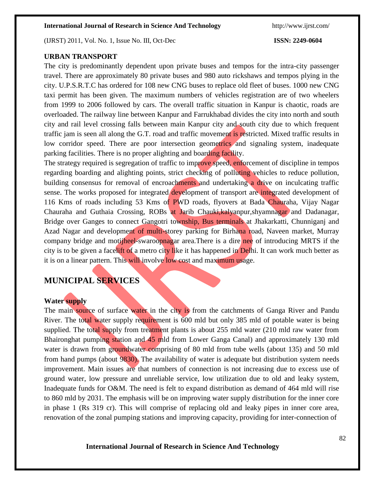(IJRST) 2011, Vol. No. 1, Issue No. III, Oct-Dec **ISSN: 2249-0604**

#### **URBAN TRANSPORT**

The city is predominantly dependent upon private buses and tempos for the intra-city passenger travel. There are approximately 80 private buses and 980 auto rickshaws and tempos plying in the city. U.P.S.R.T.C has ordered for 108 new CNG buses to replace old fleet of buses. 1000 new CNG taxi permit has been given. The maximum numbers of vehicles registration are of two wheelers from 1999 to 2006 followed by cars. The overall traffic situation in Kanpur is chaotic, roads are overloaded. The railway line between Kanpur and Farrukhabad divides the city into north and south city and rail level crossing falls between main Kanpur city and south city due to which frequent traffic jam is seen all along the G.T. road and traffic movement is restricted. Mixed traffic results in low corridor speed. There are poor intersection geometrics and signaling system, inadequate parking facilities. There is no proper alighting and boarding facility.

The strategy required is segregation of traffic to improve speed, enforcement of discipline in tempos regarding boarding and alighting points, strict checking of polluting vehicles to reduce pollution, building consensus for removal of encroachments and undertaking a drive on inculcating traffic sense. The works proposed for integrated development of transport are integrated development of 116 Kms of roads including 53 Kms of PWD roads, flyovers at Bada Chauraha, Vijay Nagar Chauraha and Guthaia Crossing, ROBs at Jarib Chauki, kalyanpur, shyamnagar and Dadanagar, Bridge over Ganges to connect Gangotri township, Bus terminals at Jhakarkatti, Chunniganj and Azad Nagar and development of multi-storey parking for Birhana road, Naveen market, Murray company bridge and motijheel-swaroopnagar area. There is a dire nee of introducing MRTS if the city is to be given a facelift of a metro city like it has happened in Delhi. It can work much better as it is on a linear pattern. This will involve low cost and maximum usage.

## **MUNICIPAL SERVICES**

### **Water supply**

The main source of surface water in the city is from the catchments of Ganga River and Pandu River. The total water supply requirement is 600 mld but only 385 mld of potable water is being supplied. The total supply from treatment plants is about 255 mld water (210 mld raw water from Bhaironghat pumping station and 45 mld from Lower Ganga Canal) and approximately 130 mld water is drawn from groundwater comprising of 80 mld from tube wells (about 135) and 50 mld from hand pumps (about 9830). The availability of water is adequate but distribution system needs improvement. Main issues are that numbers of connection is not increasing due to excess use of ground water, low pressure and unreliable service, low utilization due to old and leaky system, Inadequate funds for O&M. The need is felt to expand distribution as demand of 464 mld will rise to 860 mld by 2031. The emphasis will be on improving water supply distribution for the inner core in phase 1 (Rs 319 cr). This will comprise of replacing old and leaky pipes in inner core area, renovation of the zonal pumping stations and improving capacity, providing for inter-connection of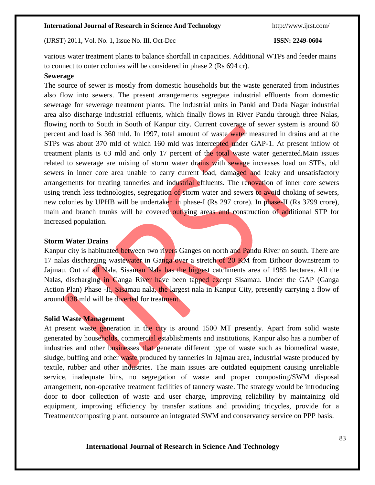(IJRST) 2011, Vol. No. 1, Issue No. III, Oct-Dec **ISSN: 2249-0604**

various water treatment plants to balance shortfall in capacities. Additional WTPs and feeder mains to connect to outer colonies will be considered in phase 2 (Rs 694 cr).

#### **Sewerage**

The source of sewer is mostly from domestic households but the waste generated from industries also flow into sewers. The present arrangements segregate industrial effluents from domestic sewerage for sewerage treatment plants. The industrial units in Panki and Dada Nagar industrial area also discharge industrial effluents, which finally flows in River Pandu through three Nalas, flowing north to South in South of Kanpur city. Current coverage of sewer system is around 60 percent and load is 360 mld. In 1997, total amount of waste water measured in drains and at the STPs was about 370 mld of which 160 mld was intercepted under GAP-1. At present inflow of treatment plants is 63 mld and only 17 percent of the total waste water generated.Main issues related to sewerage are mixing of storm water drains with sewage increases load on STPs, old sewers in inner core area unable to carry current load, damaged and leaky and unsatisfactory arrangements for treating tanneries and industrial effluents. The renovation of inner core sewers using trench less technologies, segregation of storm water and sewers to avoid choking of sewers, new colonies by UPHB will be undertaken in phase-I (Rs 297 crore). In phase-II (Rs 3799 crore), main and branch trunks will be covered outlying areas and construction of additional STP for increased population.

#### **Storm Water Drains**

Kanpur city is habituated between two rivers Ganges on north and Pandu River on south. There are 17 nalas discharging wastewater in Ganga over a stretch of 20 KM from Bithoor downstream to Jajmau. Out of all Nala, Sisamau Nala has the biggest catchments area of 1985 hectares. All the Nalas, discharging in Ganga River have been tapped except Sisamau. Under the GAP (Ganga Action Plan) Phase -II, Sisamau nala, the largest nala in Kanpur City, presently carrying a flow of around 138 mld will be diverted for treatment.

#### **Solid Waste Management**

At present waste generation in the city is around 1500 MT presently. Apart from solid waste generated by households, commercial establishments and institutions, Kanpur also has a number of industries and other businesses that generate different type of waste such as biomedical waste, sludge, buffing and other waste produced by tanneries in Jajmau area, industrial waste produced by textile, rubber and other industries. The main issues are outdated equipment causing unreliable service, inadequate bins, no segregation of waste and proper composting/SWM disposal arrangement, non-operative treatment facilities of tannery waste. The strategy would be introducing door to door collection of waste and user charge, improving reliability by maintaining old equipment, improving efficiency by transfer stations and providing tricycles, provide for a Treatment/composting plant, outsource an integrated SWM and conservancy service on PPP basis.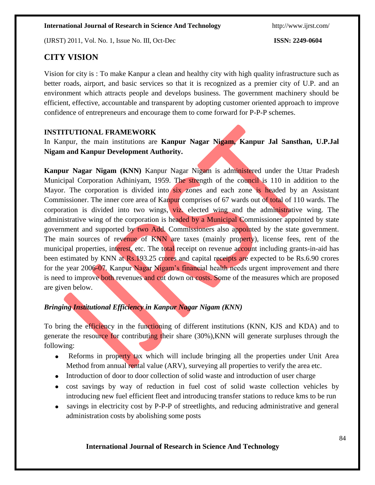## **CITY VISION**

Vision for city is : To make Kanpur a clean and healthy city with high quality infrastructure such as better roads, airport, and basic services so that it is recognized as a premier city of U.P. and an environment which attracts people and develops business. The government machinery should be efficient, effective, accountable and transparent by adopting customer oriented approach to improve confidence of entrepreneurs and encourage them to come forward for P-P-P schemes.

## **INSTITUTIONAL FRAMEWORK**

In Kanpur, the main institutions are **Kanpur Nagar Nigam, Kanpur Jal Sansthan, U.P.Jal Nigam and Kanpur Development Authority.**

**Kanpur Nagar Nigam (KNN)** Kanpur Nagar Nigam is administered under the Uttar Pradesh Municipal Corporation Adhiniyam, 1959. The strength of the council is 110 in addition to the Mayor. The corporation is divided into six zones and each zone is headed by an Assistant Commissioner. The inner core area of Kanpur comprises of 67 wards out of total of 110 wards. The corporation is divided into two wings, viz. elected wing and the administrative wing. The administrative wing of the corporation is headed by a Municipal Commissioner appointed by state government and supported by two Add. Commissioners also appointed by the state government. The main sources of revenue of KNN are taxes (mainly property), license fees, rent of the municipal properties, interest, etc. The total receipt on revenue account including grants-in-aid has been estimated by KNN at Rs.193.25 crores and capital receipts are expected to be Rs.6.90 crores for the year 2006-07. Kanpur Nagar Nigam's financial health needs urgent improvement and there is need to improve both revenues and cut down on costs. Some of the measures which are proposed are given below.

## *Bringing Institutional Efficiency in Kanpur Nagar Nigam (KNN)*

To bring the efficiency in the functioning of different institutions (KNN, KJS and KDA) and to generate the resource for contributing their share (30%), KNN will generate surpluses through the following:

- Reforms in property tax which will include bringing all the properties under Unit Area Method from annual rental value (ARV), surveying all properties to verify the area etc.
- Introduction of door to door collection of solid waste and introduction of user charge
- cost savings by way of reduction in fuel cost of solid waste collection vehicles by introducing new fuel efficient fleet and introducing transfer stations to reduce kms to be run
- savings in electricity cost by P-P-P of streetlights, and reducing administrative and general administration costs by abolishing some posts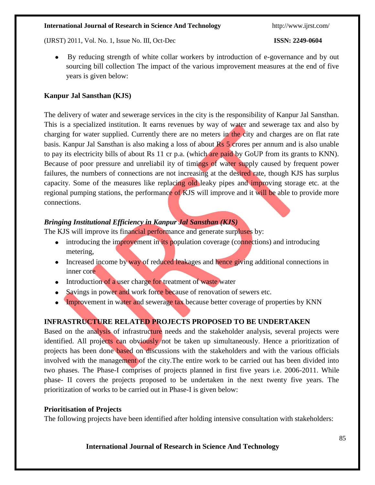(IJRST) 2011, Vol. No. 1, Issue No. III, Oct-Dec **ISSN: 2249-0604**

 By reducing strength of white collar workers by introduction of e-governance and by out sourcing bill collection The impact of the various improvement measures at the end of five years is given below:

## **Kanpur Jal Sansthan (KJS)**

The delivery of water and sewerage services in the city is the responsibility of Kanpur Jal Sansthan. This is a specialized institution. It earns revenues by way of water and sewerage tax and also by charging for water supplied. Currently there are no meters in the city and charges are on flat rate basis. Kanpur Jal Sansthan is also making a loss of about Rs 5 crores per annum and is also unable to pay its electricity bills of about Rs 11 cr p.a. (which are paid by GoUP from its grants to KNN). Because of poor pressure and unreliabil ity of timings of water supply caused by frequent power failures, the numbers of connections are not increasing at the desired rate, though KJS has surplus capacity. Some of the measures like replacing old leaky pipes and improving storage etc. at the regional pumping stations, the performance of KJS will improve and it will be able to provide more connections.

## *Bringing Institutional Efficiency in Kanpur Jal Sansthan (KJS)*

The KJS will improve its financial performance and generate surpluses by:

- introducing the improvement in its population coverage (connections) and introducing metering,
- Increased income by way of reduced leakages and hence giving additional connections in inner core
- Introduction of a user charge for treatment of waste water
- Savings in power and work force because of renovation of sewers etc.
- Improvement in water and sewerage tax because better coverage of properties by KNN

## **INFRASTRUCTURE RELATED PROJECTS PROPOSED TO BE UNDERTAKEN**

Based on the analysis of infrastructure needs and the stakeholder analysis, several projects were identified. All projects can obviously not be taken up simultaneously. Hence a prioritization of projects has been done based on discussions with the stakeholders and with the various officials involved with the management of the city. The entire work to be carried out has been divided into two phases. The Phase-I comprises of projects planned in first five years i.e. 2006-2011. While phase- II covers the projects proposed to be undertaken in the next twenty five years. The prioritization of works to be carried out in Phase-I is given below:

## **Prioritisation of Projects**

The following projects have been identified after holding intensive consultation with stakeholders: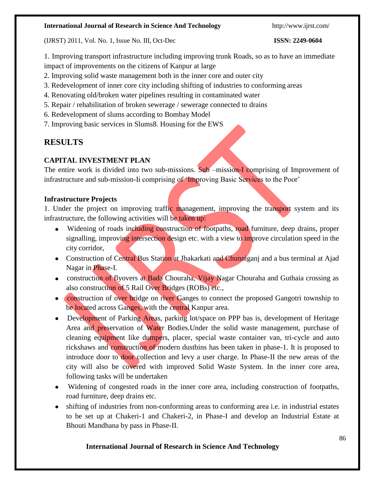(IJRST) 2011, Vol. No. 1, Issue No. III, Oct-Dec **ISSN: 2249-0604**

1. Improving transport infrastructure including improving trunk Roads, so as to have an immediate impact of improvements on the citizens of Kanpur at large

- 2. Improving solid waste management both in the inner core and outer city
- 3. Redevelopment of inner core city including shifting of industries to conforming areas
- 4. Renovating old/broken water pipelines resulting in contaminated water
- 5. Repair / rehabilitation of broken sewerage / sewerage connected to drains
- 6. Redevelopment of slums according to Bombay Model
- 7. Improving basic services in Slums8. Housing for the EWS

## **RESULTS**

## **CAPITAL INVESTMENT PLAN**

The entire work is divided into two sub-missions. Sub –mission-I comprising of Improvement of infrastructure and sub-mission-Ii comprising of 'Improving Basic Services to the Poor'

## **Infrastructure Projects**

1. Under the project on improving traffic management, improving the transport system and its infrastructure, the following activities will be taken up:

- Widening of roads including construction of footpaths, road furniture, deep drains, proper signalling, improving intersection design etc. with a view to improve circulation speed in the city corridor,
- Construction of Central Bus Station at Jhakarkati and Chunniganj and a bus terminal at Ajad Nagar in Phase-I.
- construction of flyovers at Bada Chouraha, Vijay Nagar Chouraha and Guthaia crossing as also construction of 5 Rail Over Bridges (ROBs) etc.,
- **Construction of over bridge on river Ganges to connect the proposed Gangotri township to** be located across Ganges, with the central Kanpur area.
- Development of Parking Areas, parking lot/space on PPP bas is, development of Heritage Area and preservation of Water Bodies. Under the solid waste management, purchase of cleaning equipment like dumpers, placer, special waste container van, tri-cycle and auto rickshaws and construction of modern dustbins has been taken in phase-1. It is proposed to introduce door to door collection and levy a user charge. In Phase-II the new areas of the city will also be covered with improved Solid Waste System. In the inner core area, following tasks will be undertaken
- Widening of congested roads in the inner core area, including construction of footpaths, road furniture, deep drains etc.
- shifting of industries from non-conforming areas to conforming area i.e. in industrial estates to be set up at Chakeri-1 and Chakeri-2, in Phase-I and develop an Industrial Estate at Bhouti Mandhana by pass in Phase-II.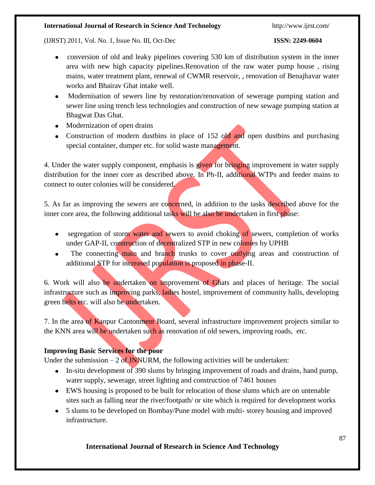(IJRST) 2011, Vol. No. 1, Issue No. III, Oct-Dec **ISSN: 2249-0604**

- conversion of old and leaky pipelines covering 530 km of distribution system in the inner area with new high capacity pipelines.Renovation of the raw water pump house , rising mains, water treatment plant, renewal of CWMR reservoir, , renovation of Benajhavar water works and Bhairav Ghat intake well.
- Modernisation of sewers line by restoration/renovation of sewerage pumping station and sewer line using trench less technologies and construction of new sewage pumping station at Bhagwat Das Ghat.
- Modernization of open drains
- Construction of modern dustbins in place of 152 old and open dustbins and purchasing special container, dumper etc. for solid waste management.

4. Under the water supply component, emphasis is given for bringing improvement in water supply distribution for the inner core as described above. In Ph-II, additional WTPs and feeder mains to connect to outer colonies will be considered.

5. As far as improving the sewers are concerned, in addition to the tasks described above for the inner core area, the following additional tasks will be also be undertaken in first phase:

- segregation of storm water and sewers to avoid choking of sewers, completion of works under GAP-II, construction of decentralized STP in new colonies by UPHB
- The connecting main and branch trunks to cover outlying areas and construction of additional STP for increased population is proposed in phase-II.

6. Work will also be undertaken on improvement of Ghats and places of heritage. The social infrastructure such as improving parks, ladies hostel, improvement of community halls, developing green belts etc. will also be undertaken.

7. In the area of Kanpur Cantonment Board, several infrastructure improvement projects similar to the KNN area will be undertaken such as renovation of old sewers, improving roads, etc.

## **Improving Basic Services for the poor**

Under the submission  $-2$  of JNNURM, the following activities will be undertaken:

- In-situ development of 390 slums by bringing improvement of roads and drains, hand pump, water supply, sewerage, street lighting and construction of 7461 houses
- EWS housing is proposed to be built for relocation of those slums which are on untenable sites such as falling near the river/footpath/ or site which is required for development works
- 5 slums to be developed on Bombay/Pune model with multi- storey housing and improved infrastructure.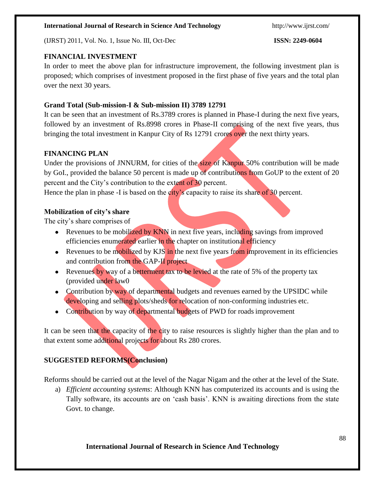(IJRST) 2011, Vol. No. 1, Issue No. III, Oct-Dec **ISSN: 2249-0604**

## **FINANCIAL INVESTMENT**

In order to meet the above plan for infrastructure improvement, the following investment plan is proposed; which comprises of investment proposed in the first phase of five years and the total plan over the next 30 years.

## **Grand Total (Sub-mission-I & Sub-mission II) 3789 12791**

It can be seen that an investment of Rs.3789 crores is planned in Phase-I during the next five years, followed by an investment of Rs.8998 crores in Phase-II comprising of the next five years, thus bringing the total investment in Kanpur City of Rs 12791 crores over the next thirty years.

## **FINANCING PLAN**

Under the provisions of JNNURM, for cities of the size of Kanpur 50% contribution will be made by GoI., provided the balance 50 percent is made up of contributions from GoUP to the extent of 20 percent and the City's contribution to the extent of 30 percent.

Hence the plan in phase -I is based on the city's capacity to raise its share of 30 percent.

## **Mobilization of city's share**

The city's share comprises of

- Revenues to be mobilized by KNN in next five years, including savings from improved efficiencies enumerated earlier in the chapter on institutional efficiency
- Exercise Revenues to be mobilized by KJS in the next five years from improvement in its efficiencies and contribution from the GAP-II project
- Revenues by way of a betterment tax to be levied at the rate of 5% of the property tax (provided under law0
- Contribution by way of departmental budgets and revenues earned by the UPSIDC while developing and selling plots/sheds for relocation of non-conforming industries etc.
- Contribution by way of departmental budgets of PWD for roads improvement

It can be seen that the capacity of the city to raise resources is slightly higher than the plan and to that extent some additional projects for about Rs 280 crores.

## **SUGGESTED REFORMS(Conclusion)**

Reforms should be carried out at the level of the Nagar Nigam and the other at the level of the State.

a) *Efficient accounting systems*: Although KNN has computerized its accounts and is using the Tally software, its accounts are on 'cash basis'. KNN is awaiting directions from the state Govt. to change.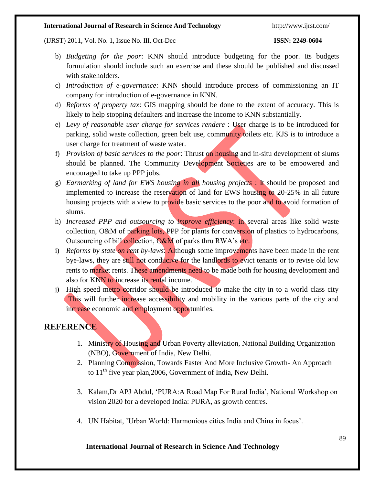#### (IJRST) 2011, Vol. No. 1, Issue No. III, Oct-Dec **ISSN: 2249-0604**

- b) *Budgeting for the poor*: KNN should introduce budgeting for the poor. Its budgets formulation should include such an exercise and these should be published and discussed with stakeholders.
- c) *Introduction of e-governance*: KNN should introduce process of commissioning an IT company for introduction of e-governance in KNN.
- d) *Reforms of property tax*: GIS mapping should be done to the extent of accuracy. This is likely to help stopping defaulters and increase the income to KNN substantially.
- e) *Levy of reasonable user charge for services rendere* : User charge is to be introduced for parking, solid waste collection, green belt use, community toilets etc. KJS is to introduce a user charge for treatment of waste water.
- f) *Provision of basic services to the poor*: Thrust on housing and in-situ development of slums should be planned. The Community Development Societies are to be empowered and encouraged to take up PPP jobs.
- g) *Earmarking of land for EWS housing in all housing projects* : It should be proposed and implemented to increase the reservation of land for EWS housing to 20-25% in all future housing projects with a view to provide basic services to the poor and to avoid formation of slums.
- h) *Increased PPP and outsourcing to improve efficiency*: in several areas like solid waste collection, O&M of parking lots, PPP for plants for conversion of plastics to hydrocarbons, Outsourcing of bill collection, O&M of parks thru RWA's etc.
- i) *Reforms by state on rent by-laws*: Although some improvements have been made in the rent bye-laws, they are still not conducive for the landlords to evict tenants or to revise old low rents to market rents. These amendments need to be made both for housing development and also for KNN to increase its rental income.
- j) High speed metro corridor should be introduced to make the city in to a world class city .This will further increase accessibility and mobility in the various parts of the city and increase economic and employment opportunities.

## **REFERENCE**

- 1. Ministry of Housing and Urban Poverty alleviation, National Building Organization (NBO), Government of India, New Delhi.
- 2. Planning Commission, Towards Faster And More Inclusive Growth- An Approach to  $11<sup>th</sup>$  five year plan, 2006, Government of India, New Delhi.
- 3. Kalam,Dr APJ Abdul, 'PURA:A Road Map For Rural India', National Workshop on vision 2020 for a developed India: PURA, as growth centres.
- 4. UN Habitat, 'Urban World: Harmonious cities India and China in focus'.